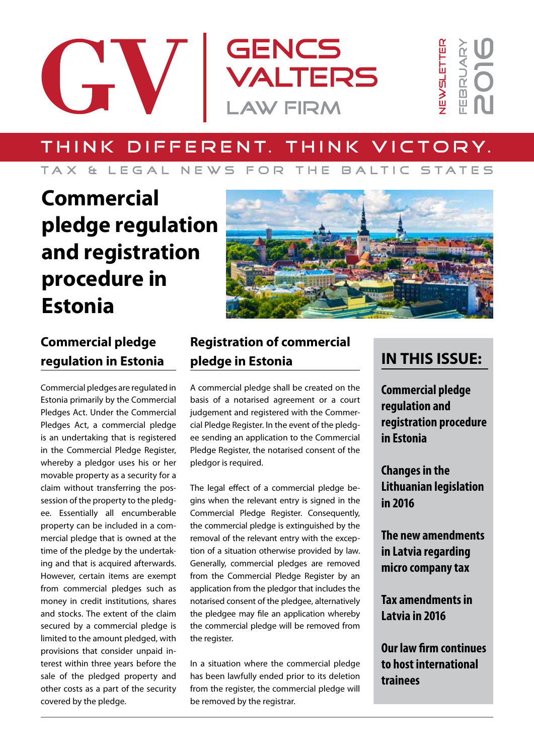**GENCS** VALTERS **AW FIRM** 

february 2016<br>2016 NEWSLETTER **JEWSLETTEF** EBRUAR

# Think different. Think victory.

## TAX & LEGAL NEWS FOR THE BALTIC STATES

# **Commercial pledge regulation and registration procedure in Estonia**

## **Commercial pledge regulation in Estonia**

Commercial pledges are regulated in Estonia primarily by the Commercial Pledges Act. Under the Commercial Pledges Act, a commercial pledge is an undertaking that is registered in the Commercial Pledge Register, whereby a pledgor uses his or her movable property as a security for a claim without transferring the possession of the property to the pledgee. Essentially all encumberable property can be included in a commercial pledge that is owned at the time of the pledge by the undertaking and that is acquired afterwards. However, certain items are exempt from commercial pledges such as money in credit institutions, shares and stocks. The extent of the claim secured by a commercial pledge is limited to the amount pledged, with provisions that consider unpaid interest within three years before the sale of the pledged property and other costs as a part of the security covered by the pledge.

## **Registration of commercial pledge in Estonia**

A commercial pledge shall be created on the basis of a notarised agreement or a court judgement and registered with the Commercial Pledge Register. In the event of the pledgee sending an application to the Commercial Pledge Register, the notarised consent of the pledgor is required.

The legal effect of a commercial pledge begins when the relevant entry is signed in the Commercial Pledge Register. Consequently, the commercial pledge is extinguished by the removal of the relevant entry with the exception of a situation otherwise provided by law. Generally, commercial pledges are removed from the Commercial Pledge Register by an application from the pledgor that includes the notarised consent of the pledgee, alternatively the pledgee may file an application whereby the commercial pledge will be removed from the register.

In a situation where the commercial pledge has been lawfully ended prior to its deletion from the register, the commercial pledge will be removed by the registrar.

## **IN THIS ISSUE:**

**Commercial pledge regulation and registration procedure in Estonia**

**Changes in the Lithuanian legislation in 2016**

**The new amendments in Latvia regarding micro company tax**

**Tax amendments in Latvia in 2016**

**Our law firm continues to host international trainees**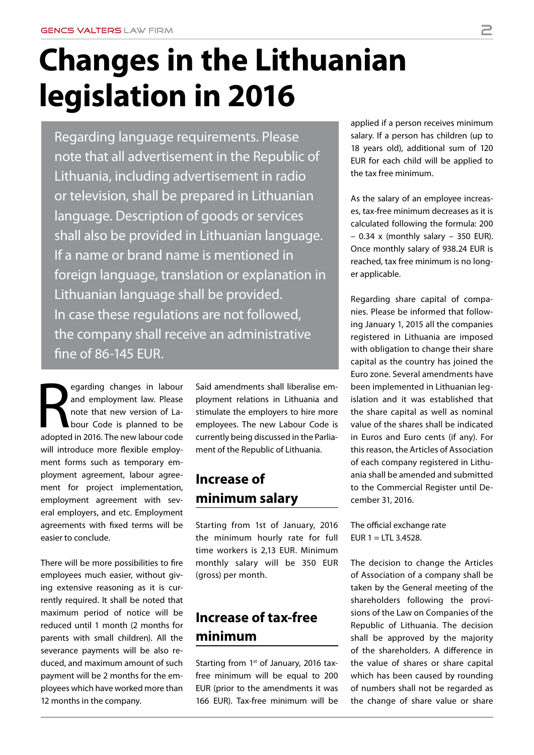# **Changes in the Lithuanian legislation in 2016**

Regarding language requirements. Please note that all advertisement in the Republic of Lithuania, including advertisement in radio or television, shall be prepared in Lithuanian language. Description of goods or services shall also be provided in Lithuanian language. If a name or brand name is mentioned in foreign language, translation or explanation in Lithuanian language shall be provided. In case these regulations are not followed, the company shall receive an administrative fine of 86-145 EUR.

egarding changes in labour<br>
and employment law. Please<br>
note that new version of Labour Code is planned to be<br>
adopted in 2016. The new labour code egarding changes in labour and employment law. Please note that new version of Labour Code is planned to be will introduce more flexible employment forms such as temporary employment agreement, labour agreement for project implementation, employment agreement with several employers, and etc. Employment agreements with fixed terms will be easier to conclude.

There will be more possibilities to fire employees much easier, without giving extensive reasoning as it is currently required. It shall be noted that maximum period of notice will be reduced until 1 month (2 months for parents with small children). All the severance payments will be also reduced, and maximum amount of such payment will be 2 months for the employees which have worked more than 12 months in the company.

Said amendments shall liberalise employment relations in Lithuania and stimulate the employers to hire more employees. The new Labour Code is currently being discussed in the Parliament of the Republic of Lithuania.

## **Increase of minimum salary**

Starting from 1st of January, 2016 the minimum hourly rate for full time workers is 2,13 EUR. Minimum monthly salary will be 350 EUR (gross) per month.

## **Increase of tax-free minimum**

Starting from 1<sup>st</sup> of January, 2016 taxfree minimum will be equal to 200 EUR (prior to the amendments it was 166 EUR). Tax-free minimum will be

applied if a person receives minimum salary. If a person has children (up to 18 years old), additional sum of 120 EUR for each child will be applied to the tax free minimum.

As the salary of an employee increases, tax-free minimum decreases as it is calculated following the formula: 200  $-$  0.34 x (monthly salary  $-$  350 EUR). Once monthly salary of 938.24 EUR is reached, tax free minimum is no longer applicable.

Regarding share capital of companies. Please be informed that following January 1, 2015 all the companies registered in Lithuania are imposed with obligation to change their share capital as the country has joined the Euro zone. Several amendments have been implemented in Lithuanian legislation and it was established that the share capital as well as nominal value of the shares shall be indicated in Euros and Euro cents (if any). For this reason, the Articles of Association of each company registered in Lithuania shall be amended and submitted to the Commercial Register until December 31, 2016.

The official exchange rate EUR  $1 =$  LTL 3.4528.

The decision to change the Articles of Association of a company shall be taken by the General meeting of the shareholders following the provisions of the Law on Companies of the Republic of Lithuania. The decision shall be approved by the majority of the shareholders. A difference in the value of shares or share capital which has been caused by rounding of numbers shall not be regarded as the change of share value or share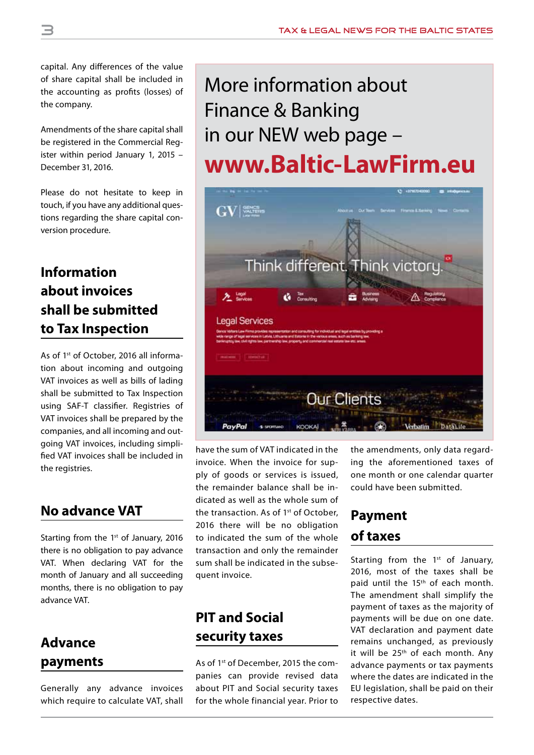capital. Any differences of the value of share capital shall be included in the accounting as profits (losses) of the company.

Amendments of the share capital shall be registered in the Commercial Register within period January 1, 2015 – December 31, 2016.

Please do not hesitate to keep in touch, if you have any additional questions regarding the share capital conversion procedure.

## **Information about invoices shall be submitted to Tax Inspection**

As of 1st of October, 2016 all information about incoming and outgoing VAT invoices as well as bills of lading shall be submitted to Tax Inspection using SAF-T classifier. Registries of VAT invoices shall be prepared by the companies, and all incoming and outgoing VAT invoices, including simplified VAT invoices shall be included in the registries.

## **No advance VAT**

Starting from the  $1<sup>st</sup>$  of January, 2016 there is no obligation to pay advance VAT. When declaring VAT for the month of January and all succeeding months, there is no obligation to pay advance VAT.

## **Advance payments**

Generally any advance invoices which require to calculate VAT, shall

# More information about Finance & Banking in our NEW web page – **www.Baltic-LawFirm.eu**



have the sum of VAT indicated in the invoice. When the invoice for supply of goods or services is issued, the remainder balance shall be indicated as well as the whole sum of the transaction. As of 1<sup>st</sup> of October, 2016 there will be no obligation to indicated the sum of the whole transaction and only the remainder sum shall be indicated in the subsequent invoice.

## **PIT and Social security taxes**

As of 1st of December, 2015 the companies can provide revised data about PIT and Social security taxes for the whole financial year. Prior to

the amendments, only data regarding the aforementioned taxes of one month or one calendar quarter could have been submitted.

## **Payment of taxes**

Starting from the 1<sup>st</sup> of January, 2016, most of the taxes shall be paid until the 15th of each month. The amendment shall simplify the payment of taxes as the majority of payments will be due on one date. VAT declaration and payment date remains unchanged, as previously it will be 25<sup>th</sup> of each month. Any advance payments or tax payments where the dates are indicated in the EU legislation, shall be paid on their respective dates.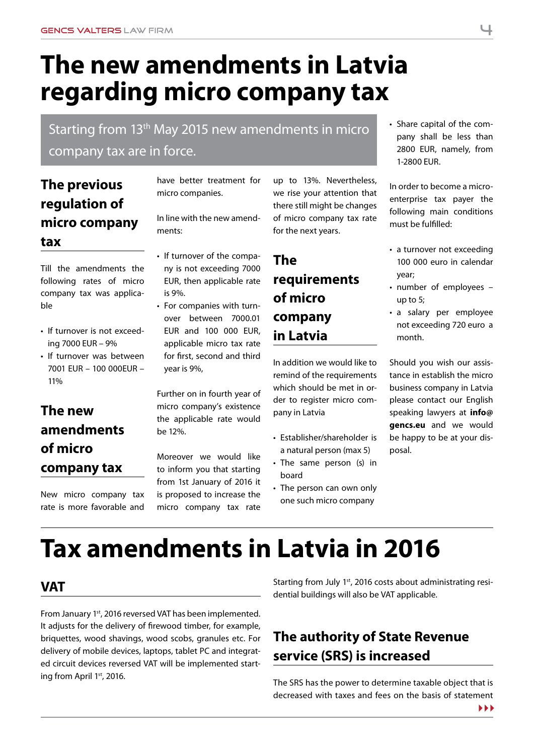# **The new amendments in Latvia regarding micro company tax**

Starting from 13th May 2015 new amendments in micro company tax are in force.

## **The previous regulation of micro company tax**

Till the amendments the following rates of micro company tax was applicable

- If turnover is not exceeding 7000 EUR – 9%
- If turnover was between 7001 EUR – 100 000EUR – 11%

## **The new amendments of micro company tax**

New micro company tax rate is more favorable and have better treatment for micro companies.

In line with the new amendments:

- If turnover of the company is not exceeding 7000 EUR, then applicable rate is 9%.
- • For companies with turnover between 7000.01 EUR and 100 000 EUR, applicable micro tax rate for first, second and third year is 9%,

Further on in fourth year of micro company's existence the applicable rate would be 12%.

Moreover we would like to inform you that starting from 1st January of 2016 it is proposed to increase the micro company tax rate

up to 13%. Nevertheless, we rise your attention that there still might be changes of micro company tax rate for the next years.

## **The requirements of micro company in Latvia**

In addition we would like to remind of the requirements which should be met in order to register micro company in Latvia

- • Establisher/shareholder is a natural person (max 5)
- The same person (s) in board
- The person can own only one such micro company

• Share capital of the company shall be less than 2800 EUR, namely, from 1-2800 EUR.

In order to become a microenterprise tax payer the following main conditions must be fulfilled:

- a turnover not exceeding 100 000 euro in calendar year;
- number of employees up to 5;
- a salary per employee not exceeding 720 euro a month.

Should you wish our assistance in establish the micro business company in Latvia please contact our English speaking lawyers at **info@ gencs.eu** and we would be happy to be at your disposal.

# **Tax amendments in Latvia in 2016**

## **VAT**

From January 1<sup>st</sup>, 2016 reversed VAT has been implemented. It adjusts for the delivery of firewood timber, for example, briquettes, wood shavings, wood scobs, granules etc. For delivery of mobile devices, laptops, tablet PC and integrated circuit devices reversed VAT will be implemented starting from April 1<sup>st</sup>, 2016.

Starting from July 1<sup>st</sup>, 2016 costs about administrating residential buildings will also be VAT applicable.

## **The authority of State Revenue service (SRS) is increased**

The SRS has the power to determine taxable object that is decreased with taxes and fees on the basis of statement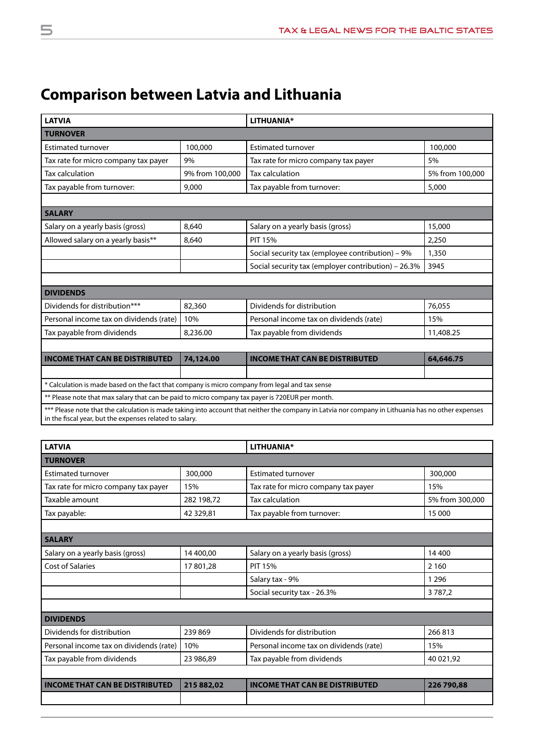# **Comparison between Latvia and Lithuania**

| <b>LATVIA</b>                                                                                                                                                                                                 |                 | LITHUANIA*                                          |                 |  |
|---------------------------------------------------------------------------------------------------------------------------------------------------------------------------------------------------------------|-----------------|-----------------------------------------------------|-----------------|--|
| <b>TURNOVER</b>                                                                                                                                                                                               |                 |                                                     |                 |  |
| <b>Estimated turnover</b>                                                                                                                                                                                     | 100,000         | <b>Estimated turnover</b>                           | 100,000         |  |
| Tax rate for micro company tax payer                                                                                                                                                                          | 9%              | Tax rate for micro company tax payer                | 5%              |  |
| <b>Tax calculation</b>                                                                                                                                                                                        | 9% from 100,000 | <b>Tax calculation</b>                              | 5% from 100,000 |  |
| Tax payable from turnover:                                                                                                                                                                                    | 9.000           | Tax payable from turnover:                          | 5,000           |  |
|                                                                                                                                                                                                               |                 |                                                     |                 |  |
| <b>SALARY</b>                                                                                                                                                                                                 |                 |                                                     |                 |  |
| Salary on a yearly basis (gross)                                                                                                                                                                              | 8,640           | Salary on a yearly basis (gross)                    | 15,000          |  |
| Allowed salary on a yearly basis**                                                                                                                                                                            | 8,640           | <b>PIT 15%</b>                                      | 2,250           |  |
|                                                                                                                                                                                                               |                 | Social security tax (employee contribution) - 9%    | 1,350           |  |
|                                                                                                                                                                                                               |                 | Social security tax (employer contribution) - 26.3% | 3945            |  |
|                                                                                                                                                                                                               |                 |                                                     |                 |  |
| <b>DIVIDENDS</b>                                                                                                                                                                                              |                 |                                                     |                 |  |
| Dividends for distribution***                                                                                                                                                                                 | 82,360          | Dividends for distribution                          | 76,055          |  |
| Personal income tax on dividends (rate)                                                                                                                                                                       | 10%             | Personal income tax on dividends (rate)             | 15%             |  |
| Tax payable from dividends                                                                                                                                                                                    | 8.236.00        | Tax payable from dividends                          | 11,408.25       |  |
|                                                                                                                                                                                                               |                 |                                                     |                 |  |
| <b>INCOME THAT CAN BE DISTRIBUTED</b>                                                                                                                                                                         | 74,124.00       | <b>INCOME THAT CAN BE DISTRIBUTED</b>               | 64,646.75       |  |
|                                                                                                                                                                                                               |                 |                                                     |                 |  |
| * Calculation is made based on the fact that company is micro company from legal and tax sense                                                                                                                |                 |                                                     |                 |  |
| ** Please note that max salary that can be paid to micro company tax payer is 720EUR per month.                                                                                                               |                 |                                                     |                 |  |
| *** Please note that the calculation is made taking into account that neither the company in Latvia nor company in Lithuania has no other expenses<br>in the fiscal year, but the expenses related to salary. |                 |                                                     |                 |  |

| <b>LATVIA</b>                           |            | LITHUANIA*                              |                 |
|-----------------------------------------|------------|-----------------------------------------|-----------------|
| <b>TURNOVER</b>                         |            |                                         |                 |
| <b>Estimated turnover</b>               | 300,000    | <b>Estimated turnover</b>               | 300,000         |
| Tax rate for micro company tax payer    | 15%        | Tax rate for micro company tax payer    | 15%             |
| Taxable amount                          | 282 198,72 | Tax calculation                         | 5% from 300,000 |
| Tax payable:                            | 42 329,81  | Tax payable from turnover:              | 15 000          |
|                                         |            |                                         |                 |
| <b>SALARY</b>                           |            |                                         |                 |
| Salary on a yearly basis (gross)        | 14 400.00  | Salary on a yearly basis (gross)        | 14 400          |
| <b>Cost of Salaries</b>                 | 17801,28   | <b>PIT 15%</b>                          | 2 1 6 0         |
|                                         |            | Salary tax - 9%                         | 1 2 9 6         |
|                                         |            | Social security tax - 26.3%             | 3787,2          |
|                                         |            |                                         |                 |
| <b>DIVIDENDS</b>                        |            |                                         |                 |
| Dividends for distribution              | 239869     | Dividends for distribution              | 266813          |
| Personal income tax on dividends (rate) | 10%        | Personal income tax on dividends (rate) | 15%             |
| Tax payable from dividends              | 23 986,89  | Tax payable from dividends              | 40 021,92       |
|                                         |            |                                         |                 |
| <b>INCOME THAT CAN BE DISTRIBUTED</b>   | 215 882,02 | <b>INCOME THAT CAN BE DISTRIBUTED</b>   | 226 790,88      |
|                                         |            |                                         |                 |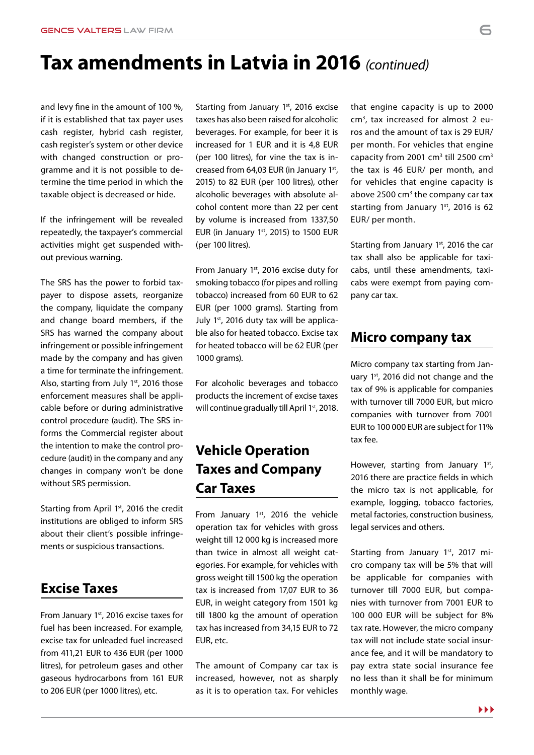# **Tax amendments in Latvia in 2016** *(continued)*

and levy fine in the amount of 100 %, if it is established that tax payer uses cash register, hybrid cash register, cash register's system or other device with changed construction or programme and it is not possible to determine the time period in which the taxable object is decreased or hide.

If the infringement will be revealed repeatedly, the taxpayer's commercial activities might get suspended without previous warning.

The SRS has the power to forbid taxpayer to dispose assets, reorganize the company, liquidate the company and change board members, if the SRS has warned the company about infringement or possible infringement made by the company and has given a time for terminate the infringement. Also, starting from July 1<sup>st</sup>, 2016 those enforcement measures shall be applicable before or during administrative control procedure (audit). The SRS informs the Commercial register about the intention to make the control procedure (audit) in the company and any changes in company won't be done without SRS permission.

Starting from April 1<sup>st</sup>, 2016 the credit institutions are obliged to inform SRS about their client's possible infringements or suspicious transactions.

### **Excise Taxes**

From January 1<sup>st</sup>, 2016 excise taxes for fuel has been increased. For example, excise tax for unleaded fuel increased from 411,21 EUR to 436 EUR (per 1000 litres), for petroleum gases and other gaseous hydrocarbons from 161 EUR to 206 EUR (per 1000 litres), etc.

Starting from January  $1<sup>st</sup>$ , 2016 excise taxes has also been raised for alcoholic beverages. For example, for beer it is increased for 1 EUR and it is 4,8 EUR (per 100 litres), for vine the tax is increased from 64,03 EUR (in January 1st, 2015) to 82 EUR (per 100 litres), other alcoholic beverages with absolute alcohol content more than 22 per cent by volume is increased from 1337,50 EUR (in January  $1<sup>st</sup>$ , 2015) to 1500 EUR (per 100 litres).

From January 1<sup>st</sup>, 2016 excise duty for smoking tobacco (for pipes and rolling tobacco) increased from 60 EUR to 62 EUR (per 1000 grams). Starting from July 1<sup>st</sup>, 2016 duty tax will be applicable also for heated tobacco. Excise tax for heated tobacco will be 62 EUR (per 1000 grams).

For alcoholic beverages and tobacco products the increment of excise taxes will continue gradually till April 1st, 2018.

## **Vehicle Operation Taxes and Company Car Taxes**

From January  $1<sup>st</sup>$ , 2016 the vehicle operation tax for vehicles with gross weight till 12 000 kg is increased more than twice in almost all weight categories. For example, for vehicles with gross weight till 1500 kg the operation tax is increased from 17,07 EUR to 36 EUR, in weight category from 1501 kg till 1800 kg the amount of operation tax has increased from 34,15 EUR to 72 EUR, etc.

The amount of Company car tax is increased, however, not as sharply as it is to operation tax. For vehicles

that engine capacity is up to 2000 cm3 , tax increased for almost 2 euros and the amount of tax is 29 EUR/ per month. For vehicles that engine capacity from 2001 cm<sup>3</sup> till 2500 cm<sup>3</sup> the tax is 46 EUR/ per month, and for vehicles that engine capacity is above 2500 cm<sup>3</sup> the company car tax starting from January 1<sup>st</sup>, 2016 is 62 EUR/ per month.

Starting from January 1st, 2016 the car tax shall also be applicable for taxicabs, until these amendments, taxicabs were exempt from paying company car tax.

#### **Micro company tax**

Micro company tax starting from January 1<sup>st</sup>, 2016 did not change and the tax of 9% is applicable for companies with turnover till 7000 EUR, but micro companies with turnover from 7001 EUR to 100 000 EUR are subject for 11% tax fee.

However, starting from January 1st, 2016 there are practice fields in which the micro tax is not applicable, for example, logging, tobacco factories, metal factories, construction business, legal services and others.

Starting from January 1st, 2017 micro company tax will be 5% that will be applicable for companies with turnover till 7000 EUR, but companies with turnover from 7001 EUR to 100 000 EUR will be subject for 8% tax rate. However, the micro company tax will not include state social insurance fee, and it will be mandatory to pay extra state social insurance fee no less than it shall be for minimum monthly wage.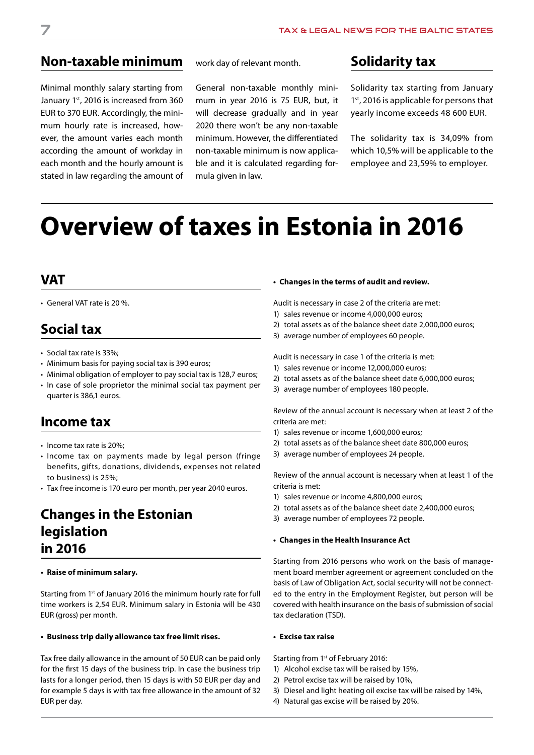### **Non-taxable minimum**

Minimal monthly salary starting from January 1<sup>st</sup>, 2016 is increased from 360 EUR to 370 EUR. Accordingly, the minimum hourly rate is increased, however, the amount varies each month according the amount of workday in each month and the hourly amount is stated in law regarding the amount of work day of relevant month.

General non-taxable monthly minimum in year 2016 is 75 EUR, but, it will decrease gradually and in year 2020 there won't be any non-taxable minimum. However, the differentiated non-taxable minimum is now applicable and it is calculated regarding formula given in law.

**Solidarity tax**

Solidarity tax starting from January 1<sup>st</sup>, 2016 is applicable for persons that yearly income exceeds 48 600 EUR.

The solidarity tax is 34,09% from which 10,5% will be applicable to the employee and 23,59% to employer.

# **Overview of taxes in Estonia in 2016**

### **VAT**

• General VAT rate is 20 %.

## **Social tax**

- Social tax rate is 33%:
- Minimum basis for paying social tax is 390 euros;
- Minimal obligation of employer to pay social tax is 128,7 euros;
- In case of sole proprietor the minimal social tax payment per quarter is 386,1 euros.

### **Income tax**

- Income tax rate is 20%:
- Income tax on payments made by legal person (fringe benefits, gifts, donations, dividends, expenses not related to business) is 25%;
- Tax free income is 170 euro per month, per year 2040 euros.

## **Changes in the Estonian legislation in 2016**

#### **• Raise of minimum salary.**

Starting from 1<sup>st</sup> of January 2016 the minimum hourly rate for full time workers is 2,54 EUR. Minimum salary in Estonia will be 430 EUR (gross) per month.

#### **• Business trip daily allowance tax free limit rises.**

Tax free daily allowance in the amount of 50 EUR can be paid only for the first 15 days of the business trip. In case the business trip lasts for a longer period, then 15 days is with 50 EUR per day and for example 5 days is with tax free allowance in the amount of 32 EUR per day.

#### **• Changes in the terms of audit and review.**

Audit is necessary in case 2 of the criteria are met:

- 1) sales revenue or income 4,000,000 euros;
- 2) total assets as of the balance sheet date 2,000,000 euros;
- 3) average number of employees 60 people.

Audit is necessary in case 1 of the criteria is met:

- 1) sales revenue or income 12,000,000 euros;
- 2) total assets as of the balance sheet date 6,000,000 euros;
- 3) average number of employees 180 people.

Review of the annual account is necessary when at least 2 of the criteria are met:

- 1) sales revenue or income 1,600,000 euros;
- 2) total assets as of the balance sheet date 800,000 euros;
- 3) average number of employees 24 people.

Review of the annual account is necessary when at least 1 of the criteria is met:

- 1) sales revenue or income 4,800,000 euros;
- 2) total assets as of the balance sheet date 2,400,000 euros;
- 3) average number of employees 72 people.

#### **• Changes in the Health Insurance Act**

Starting from 2016 persons who work on the basis of management board member agreement or agreement concluded on the basis of Law of Obligation Act, social security will not be connected to the entry in the Employment Register, but person will be covered with health insurance on the basis of submission of social tax declaration (TSD).

#### **• Excise tax raise**

Starting from 1<sup>st</sup> of February 2016:

- 1) Alcohol excise tax will be raised by 15%,
- 2) Petrol excise tax will be raised by 10%,
- 3) Diesel and light heating oil excise tax will be raised by 14%,
- 4) Natural gas excise will be raised by 20%.